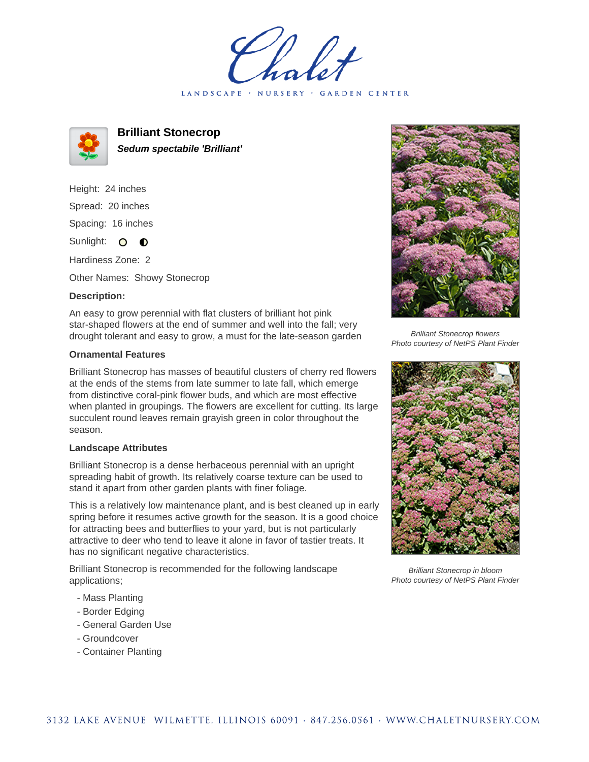holet LANDSCAPE · NURSERY · GARDEN CENTER



**Brilliant Stonecrop Sedum spectabile 'Brilliant'**

Height: 24 inches Spread: 20 inches Spacing: 16 inches Sunlight: O **O** 

Hardiness Zone: 2

Other Names: Showy Stonecrop

## **Description:**

An easy to grow perennial with flat clusters of brilliant hot pink star-shaped flowers at the end of summer and well into the fall; very drought tolerant and easy to grow, a must for the late-season garden

## **Ornamental Features**

Brilliant Stonecrop has masses of beautiful clusters of cherry red flowers at the ends of the stems from late summer to late fall, which emerge from distinctive coral-pink flower buds, and which are most effective when planted in groupings. The flowers are excellent for cutting. Its large succulent round leaves remain grayish green in color throughout the season.

## **Landscape Attributes**

Brilliant Stonecrop is a dense herbaceous perennial with an upright spreading habit of growth. Its relatively coarse texture can be used to stand it apart from other garden plants with finer foliage.

This is a relatively low maintenance plant, and is best cleaned up in early spring before it resumes active growth for the season. It is a good choice for attracting bees and butterflies to your yard, but is not particularly attractive to deer who tend to leave it alone in favor of tastier treats. It has no significant negative characteristics.

Brilliant Stonecrop is recommended for the following landscape applications;

- Mass Planting
- Border Edging
- General Garden Use
- Groundcover
- Container Planting



Brilliant Stonecrop flowers Photo courtesy of NetPS Plant Finder



Brilliant Stonecrop in bloom Photo courtesy of NetPS Plant Finder